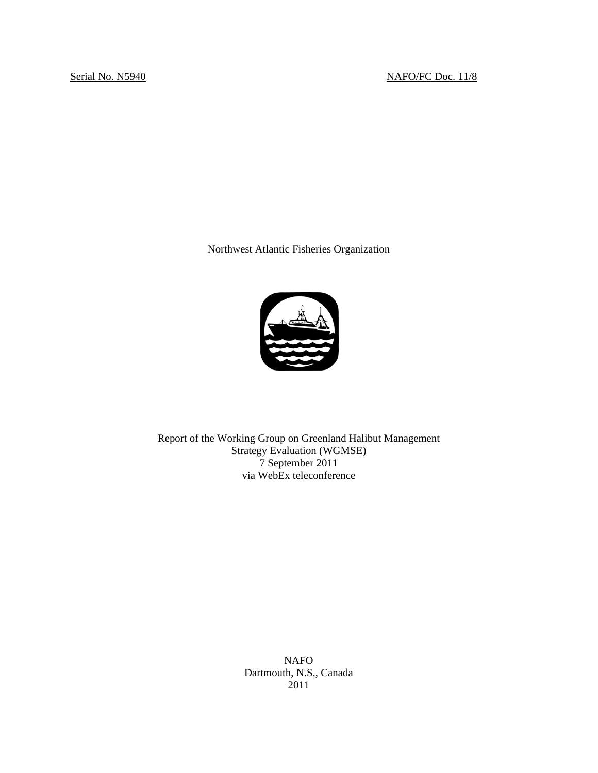Northwest Atlantic Fisheries Organization



Report of the Working Group on Greenland Halibut Management Strategy Evaluation (WGMSE) 7 September 2011 via WebEx teleconference

> NAFO Dartmouth, N.S., Canada 2011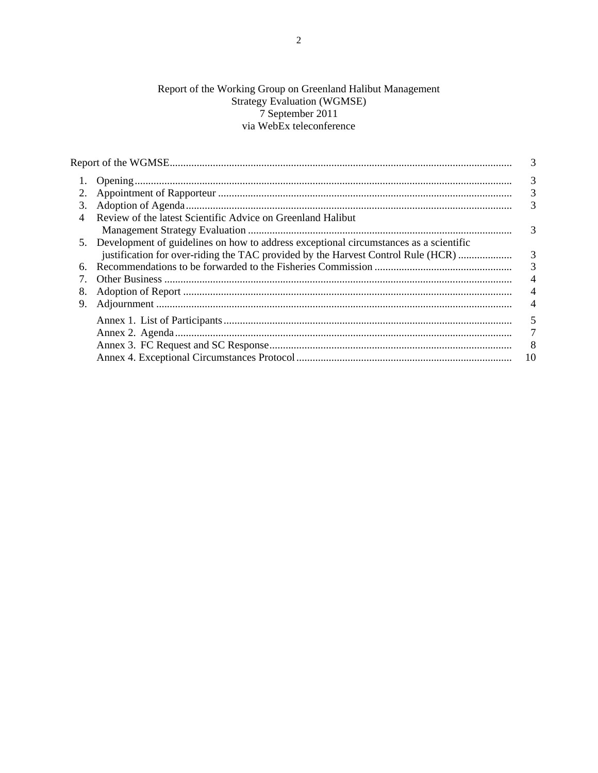# Report of the Working Group on Greenland Halibut Management<br>Strategy Evaluation (WGMSE)<br>7 September 2011 via WebEx teleconference

|    |                                                                                          | 3                         |
|----|------------------------------------------------------------------------------------------|---------------------------|
|    |                                                                                          | 3                         |
|    |                                                                                          | $\overline{3}$            |
| 3. |                                                                                          | 3                         |
| 4  | Review of the latest Scientific Advice on Greenland Halibut                              |                           |
|    |                                                                                          | 3                         |
|    | 5. Development of guidelines on how to address exceptional circumstances as a scientific |                           |
|    | justification for over-riding the TAC provided by the Harvest Control Rule (HCR)         | $\overline{3}$            |
| 6. |                                                                                          | $\overline{3}$            |
|    |                                                                                          | $\overline{4}$            |
| 8. |                                                                                          | $\overline{4}$            |
| 9. |                                                                                          |                           |
|    |                                                                                          | 5                         |
|    |                                                                                          | 7                         |
|    |                                                                                          | $\overline{\phantom{0}8}$ |
|    |                                                                                          | 10                        |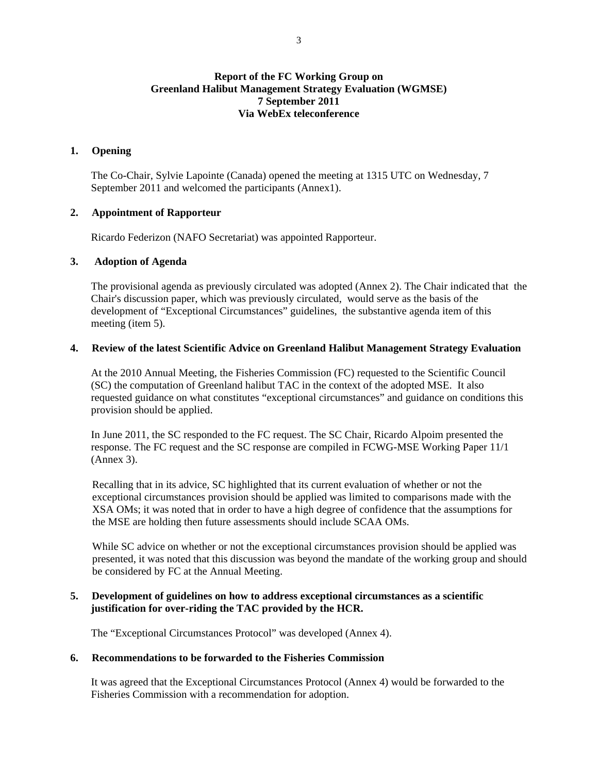## **Report of the FC Working Group on Greenland Halibut Management Strategy Evaluation (WGMSE) 7 September 2011 Via WebEx teleconference**

## **1. Opening**

The Co-Chair, Sylvie Lapointe (Canada) opened the meeting at 1315 UTC on Wednesday, 7 September 2011 and welcomed the participants (Annex1).

## **2. Appointment of Rapporteur**

Ricardo Federizon (NAFO Secretariat) was appointed Rapporteur.

## **3. Adoption of Agenda**

The provisional agenda as previously circulated was adopted (Annex 2). The Chair indicated that the Chair's discussion paper, which was previously circulated, would serve as the basis of the development of "Exceptional Circumstances" guidelines, the substantive agenda item of this meeting (item 5).

## **4. Review of the latest Scientific Advice on Greenland Halibut Management Strategy Evaluation**

At the 2010 Annual Meeting, the Fisheries Commission (FC) requested to the Scientific Council (SC) the computation of Greenland halibut TAC in the context of the adopted MSE. It also requested guidance on what constitutes "exceptional circumstances" and guidance on conditions this provision should be applied.

In June 2011, the SC responded to the FC request. The SC Chair, Ricardo Alpoim presented the response. The FC request and the SC response are compiled in FCWG-MSE Working Paper 11/1 (Annex 3).

Recalling that in its advice, SC highlighted that its current evaluation of whether or not the exceptional circumstances provision should be applied was limited to comparisons made with the XSA OMs; it was noted that in order to have a high degree of confidence that the assumptions for the MSE are holding then future assessments should include SCAA OMs.

While SC advice on whether or not the exceptional circumstances provision should be applied was presented, it was noted that this discussion was beyond the mandate of the working group and should be considered by FC at the Annual Meeting.

## **5. Development of guidelines on how to address exceptional circumstances as a scientific justification for over-riding the TAC provided by the HCR.**

The "Exceptional Circumstances Protocol" was developed (Annex 4).

## **6. Recommendations to be forwarded to the Fisheries Commission**

It was agreed that the Exceptional Circumstances Protocol (Annex 4) would be forwarded to the Fisheries Commission with a recommendation for adoption.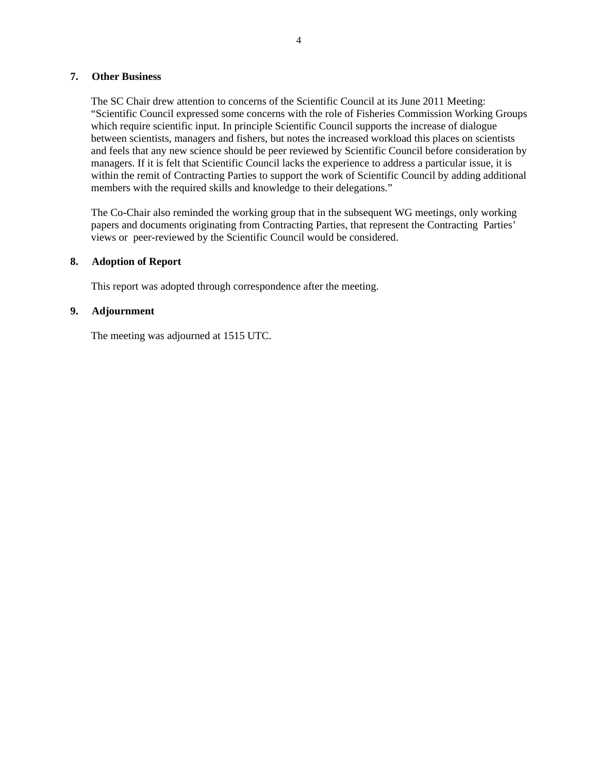## **7. Other Business**

The SC Chair drew attention to concerns of the Scientific Council at its June 2011 Meeting: "Scientific Council expressed some concerns with the role of Fisheries Commission Working Groups which require scientific input. In principle Scientific Council supports the increase of dialogue between scientists, managers and fishers, but notes the increased workload this places on scientists and feels that any new science should be peer reviewed by Scientific Council before consideration by managers. If it is felt that Scientific Council lacks the experience to address a particular issue, it is within the remit of Contracting Parties to support the work of Scientific Council by adding additional members with the required skills and knowledge to their delegations."

The Co-Chair also reminded the working group that in the subsequent WG meetings, only working papers and documents originating from Contracting Parties, that represent the Contracting Parties' views or peer-reviewed by the Scientific Council would be considered.

## **8. Adoption of Report**

This report was adopted through correspondence after the meeting.

## **9. Adjournment**

The meeting was adjourned at 1515 UTC.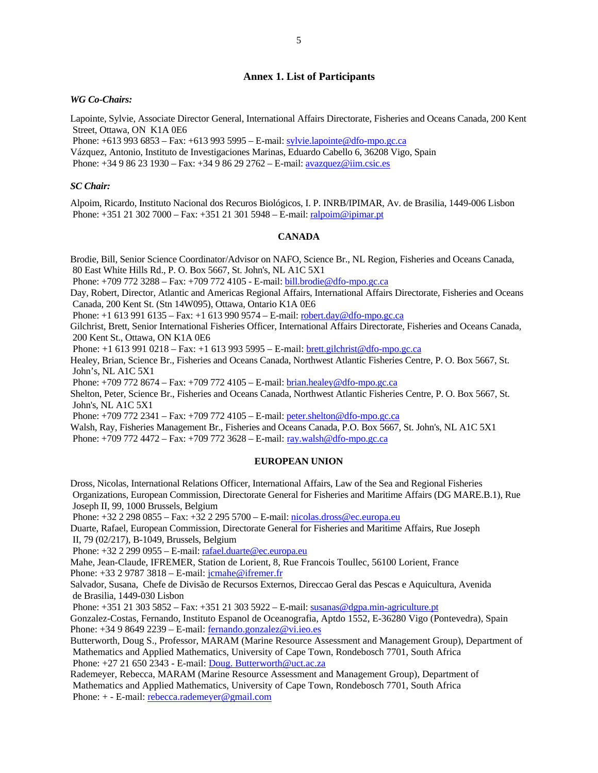#### **Annex 1. List of Participants**

#### *WG Co-Chairs:*

Lapointe, Sylvie, Associate Director General, International Affairs Directorate, Fisheries and Oceans Canada, 200 Kent Street, Ottawa, ON K1A 0E6

Phone: +613 993 6853 – Fax: +613 993 5995 – E-mail: sylvie.lapointe@dfo-mpo.gc.ca

Vázquez, Antonio, Instituto de Investigaciones Marinas, Eduardo Cabello 6, 36208 Vigo, Spain

Phone: +34 9 86 23 1930 – Fax: +34 9 86 29 2762 – E-mail: avazquez@iim.csic.es

#### *SC Chair:*

Alpoim, Ricardo, Instituto Nacional dos Recuros Biológicos, I. P. INRB/IPIMAR, Av. de Brasilia, 1449-006 Lisbon Phone: +351 21 302 7000 – Fax: +351 21 301 5948 – E-mail: ralpoim@ipimar.pt

#### **CANADA**

Brodie, Bill, Senior Science Coordinator/Advisor on NAFO, Science Br., NL Region, Fisheries and Oceans Canada, 80 East White Hills Rd., P. O. Box 5667, St. John's, NL A1C 5X1

Phone: +709 772 3288 – Fax: +709 772 4105 - E-mail: bill.brodie@dfo-mpo.gc.ca

Day, Robert, Director, Atlantic and Americas Regional Affairs, International Affairs Directorate, Fisheries and Oceans Canada, 200 Kent St. (Stn 14W095), Ottawa, Ontario K1A 0E6

Phone: +1 613 991 6135 – Fax: +1 613 990 9574 – E-mail: robert.day@dfo-mpo.gc.ca

Gilchrist, Brett, Senior International Fisheries Officer, International Affairs Directorate, Fisheries and Oceans Canada, 200 Kent St., Ottawa, ON K1A 0E6

Phone: +1 613 991 0218 – Fax: +1 613 993 5995 – E-mail: brett.gilchrist@dfo-mpo.gc.ca

Healey, Brian, Science Br., Fisheries and Oceans Canada, Northwest Atlantic Fisheries Centre, P. O. Box 5667, St. John's, NL A1C 5X1

Phone: +709 772 8674 – Fax: +709 772 4105 – E-mail: brian.healey@dfo-mpo.gc.ca

Shelton, Peter, Science Br., Fisheries and Oceans Canada, Northwest Atlantic Fisheries Centre, P. O. Box 5667, St. John's, NL A1C 5X1

Phone: +709 772 2341 – Fax: +709 772 4105 – E-mail: peter.shelton@dfo-mpo.gc.ca

Walsh, Ray, Fisheries Management Br., Fisheries and Oceans Canada, P.O. Box 5667, St. John's, NL A1C 5X1 Phone: +709 772 4472 – Fax: +709 772 3628 – E-mail: ray.walsh@dfo-mpo.gc.ca

#### **EUROPEAN UNION**

Dross, Nicolas, International Relations Officer, International Affairs, Law of the Sea and Regional Fisheries Organizations, European Commission, Directorate General for Fisheries and Maritime Affairs (DG MARE.B.1), Rue Joseph II, 99, 1000 Brussels, Belgium

Phone: +32 2 298 0855 – Fax: +32 2 295 5700 – E-mail: nicolas.dross@ec.europa.eu

Duarte, Rafael, European Commission, Directorate General for Fisheries and Maritime Affairs, Rue Joseph

II, 79 (02/217), B-1049, Brussels, Belgium

Phone: +32 2 299 0955 – E-mail: rafael.duarte@ec.europa.eu

Mahe, Jean-Claude, IFREMER, Station de Lorient, 8, Rue Francois Toullec, 56100 Lorient, France Phone: +33 2 9787 3818 – E-mail: jcmahe@ifremer.fr

Salvador, Susana, Chefe de Divisão de Recursos Externos, Direccao Geral das Pescas e Aquicultura, Avenida de Brasilia, 1449-030 Lisbon

Phone: +351 21 303 5852 – Fax: +351 21 303 5922 – E-mail: susanas@dgpa.min-agriculture.pt

Gonzalez-Costas, Fernando, Instituto Espanol de Oceanografia, Aptdo 1552, E-36280 Vigo (Pontevedra), Spain Phone:  $+34986492239 - E-mail$ : fernando.gonzalez@vi.ieo.es

Butterworth, Doug S., Professor, MARAM (Marine Resource Assessment and Management Group), Department of Mathematics and Applied Mathematics, University of Cape Town, Rondebosch 7701, South Africa Phone: +27 21 650 2343 - E-mail: Doug. Butterworth@uct.ac.za

Rademeyer, Rebecca, MARAM (Marine Resource Assessment and Management Group), Department of Mathematics and Applied Mathematics, University of Cape Town, Rondebosch 7701, South Africa Phone: + - E-mail: rebecca.rademeyer@gmail.com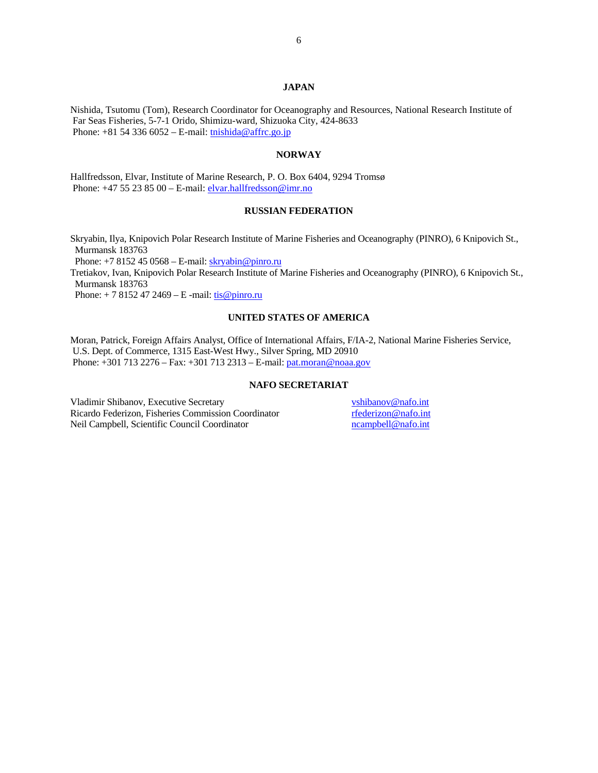#### **JAPAN**

Nishida, Tsutomu (Tom), Research Coordinator for Oceanography and Resources, National Research Institute of Far Seas Fisheries, 5-7-1 Orido, Shimizu-ward, Shizuoka City, 424-8633 Phone:  $+81$  54 336 6052 – E-mail: the thishida@affrc.go.jp

#### **NORWAY**

Hallfredsson, Elvar, Institute of Marine Research, P. O. Box 6404, 9294 Tromsø Phone: +47 55 23 85 00 – E-mail: elvar.hallfredsson@imr.no

#### **RUSSIAN FEDERATION**

Skryabin, Ilya, Knipovich Polar Research Institute of Marine Fisheries and Oceanography (PINRO), 6 Knipovich St., Murmansk 183763

Phone:  $+78152450568 -$ E-mail:  $\frac{skryabin@pinro.ru}{skryabin@pinro.ru}$ 

Tretiakov, Ivan, Knipovich Polar Research Institute of Marine Fisheries and Oceanography (PINRO), 6 Knipovich St., Murmansk 183763

Phone:  $+ 78152472469 - E$  -mail:  $tis@pinro.ru$ </u>

#### **UNITED STATES OF AMERICA**

Moran, Patrick, Foreign Affairs Analyst, Office of International Affairs, F/IA-2, National Marine Fisheries Service, U.S. Dept. of Commerce, 1315 East-West Hwy., Silver Spring, MD 20910 Phone: +301 713 2276 – Fax: +301 713 2313 – E-mail: pat.moran@noaa.gov

#### **NAFO SECRETARIAT**

Vladimir Shibanov, Executive Secretary vshibanov@nafo.int Ricardo Federizon, Fisheries Commission Coordinator *rederizon* @nafo.int<br>Neil Campbell, Scientific Council Coordinator *reduned by a mampbell* @nafo.int Neil Campbell, Scientific Council Coordinator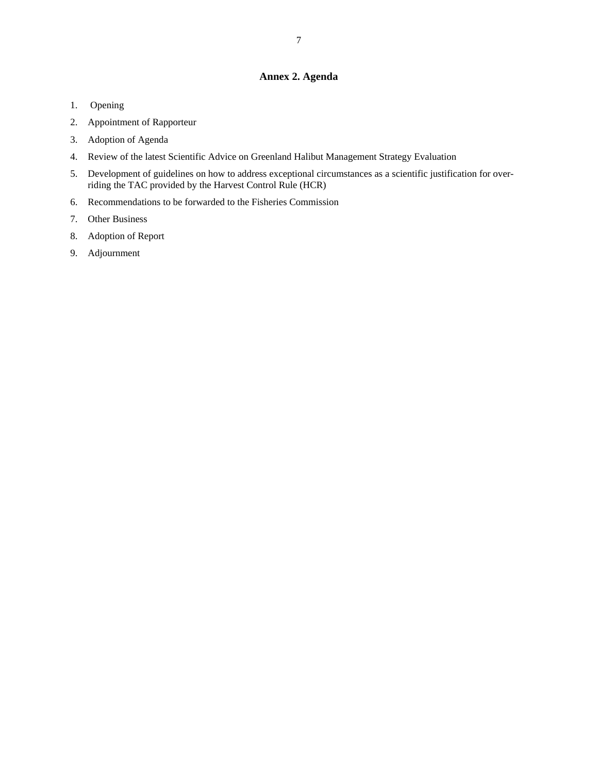## **Annex 2. Agenda**

- 1. Opening
- 2. Appointment of Rapporteur
- 3. Adoption of Agenda
- 4. Review of the latest Scientific Advice on Greenland Halibut Management Strategy Evaluation
- 5. Development of guidelines on how to address exceptional circumstances as a scientific justification for overriding the TAC provided by the Harvest Control Rule (HCR)
- 6. Recommendations to be forwarded to the Fisheries Commission
- 7. Other Business
- 8. Adoption of Report
- 9. Adjournment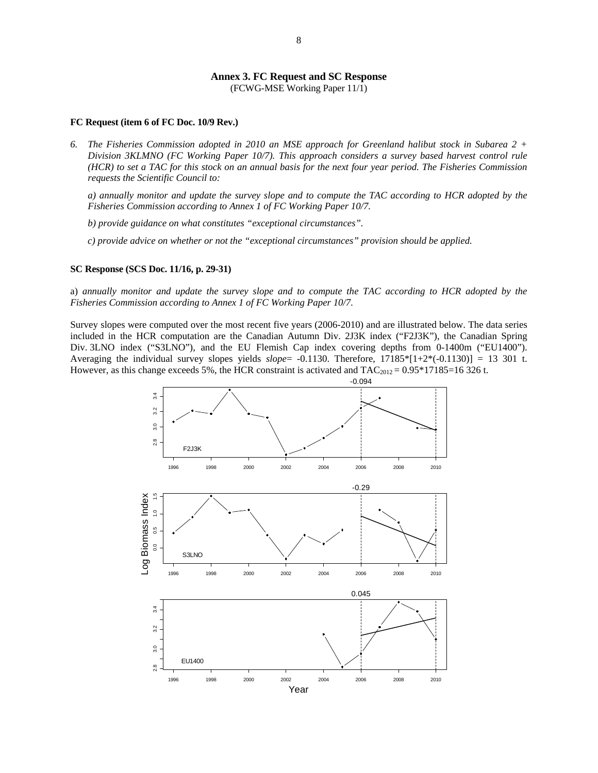# **Annex 3. FC Request and SC Response**

(FCWG-MSE Working Paper 11/1)

#### **FC Request (item 6 of FC Doc. 10/9 Rev.)**

*6. The Fisheries Commission adopted in 2010 an MSE approach for Greenland halibut stock in Subarea 2 + Division 3KLMNO (FC Working Paper 10/7). This approach considers a survey based harvest control rule (HCR) to set a TAC for this stock on an annual basis for the next four year period. The Fisheries Commission requests the Scientific Council to:* 

*a) annually monitor and update the survey slope and to compute the TAC according to HCR adopted by the Fisheries Commission according to Annex 1 of FC Working Paper 10/7.* 

*b) provide guidance on what constitutes "exceptional circumstances".* 

*c) provide advice on whether or not the "exceptional circumstances" provision should be applied.* 

#### **SC Response (SCS Doc. 11/16, p. 29-31)**

a) *annually monitor and update the survey slope and to compute the TAC according to HCR adopted by the Fisheries Commission according to Annex 1 of FC Working Paper 10/7.* 

Survey slopes were computed over the most recent five years (2006-2010) and are illustrated below. The data series included in the HCR computation are the Canadian Autumn Div. 2J3K index ("F2J3K"), the Canadian Spring Div. 3LNO index ("S3LNO"), and the EU Flemish Cap index covering depths from 0-1400m ("EU1400"). Averaging the individual survey slopes yields *slope*= -0.1130. Therefore, 17185\*[1+2\*(-0.1130)] = 13 301 t. However, as this change exceeds 5%, the HCR constraint is activated and  $TAC_{2012} = 0.95*17185=16326$  t.

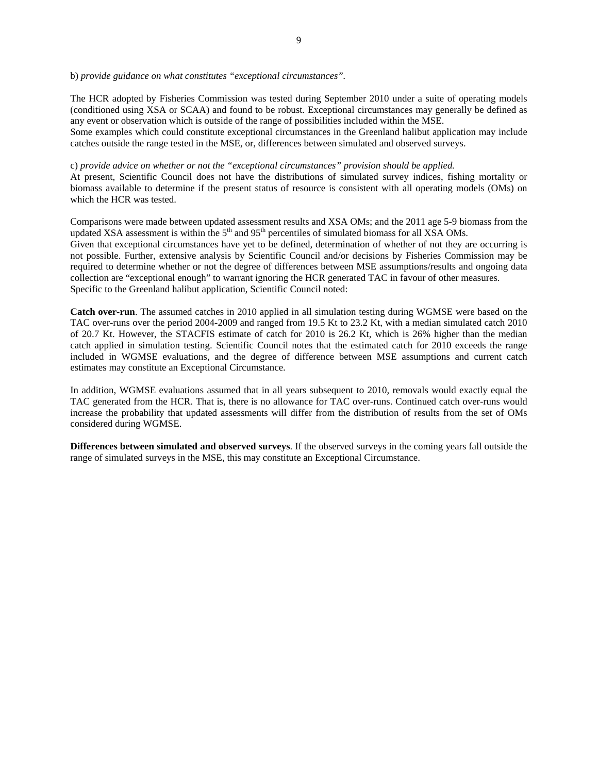b) *provide guidance on what constitutes "exceptional circumstances".* 

The HCR adopted by Fisheries Commission was tested during September 2010 under a suite of operating models (conditioned using XSA or SCAA) and found to be robust. Exceptional circumstances may generally be defined as any event or observation which is outside of the range of possibilities included within the MSE.

Some examples which could constitute exceptional circumstances in the Greenland halibut application may include catches outside the range tested in the MSE, or, differences between simulated and observed surveys.

#### c) *provide advice on whether or not the "exceptional circumstances" provision should be applied.*

At present, Scientific Council does not have the distributions of simulated survey indices, fishing mortality or biomass available to determine if the present status of resource is consistent with all operating models (OMs) on which the HCR was tested.

Comparisons were made between updated assessment results and XSA OMs; and the 2011 age 5-9 biomass from the updated XSA assessment is within the  $5<sup>th</sup>$  and  $95<sup>th</sup>$  percentiles of simulated biomass for all XSA OMs. Given that exceptional circumstances have yet to be defined, determination of whether of not they are occurring is not possible. Further, extensive analysis by Scientific Council and/or decisions by Fisheries Commission may be required to determine whether or not the degree of differences between MSE assumptions/results and ongoing data collection are "exceptional enough" to warrant ignoring the HCR generated TAC in favour of other measures.

Specific to the Greenland halibut application, Scientific Council noted:

**Catch over-run**. The assumed catches in 2010 applied in all simulation testing during WGMSE were based on the TAC over-runs over the period 2004-2009 and ranged from 19.5 Kt to 23.2 Kt, with a median simulated catch 2010 of 20.7 Kt. However, the STACFIS estimate of catch for 2010 is 26.2 Kt, which is 26% higher than the median catch applied in simulation testing. Scientific Council notes that the estimated catch for 2010 exceeds the range included in WGMSE evaluations, and the degree of difference between MSE assumptions and current catch estimates may constitute an Exceptional Circumstance.

In addition, WGMSE evaluations assumed that in all years subsequent to 2010, removals would exactly equal the TAC generated from the HCR. That is, there is no allowance for TAC over-runs. Continued catch over-runs would increase the probability that updated assessments will differ from the distribution of results from the set of OMs considered during WGMSE.

**Differences between simulated and observed surveys**. If the observed surveys in the coming years fall outside the range of simulated surveys in the MSE, this may constitute an Exceptional Circumstance.